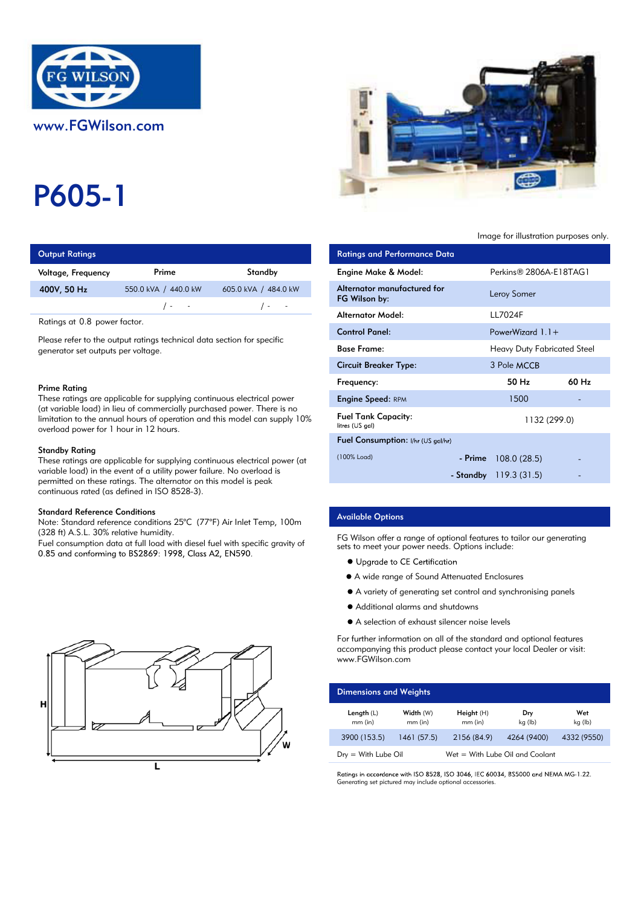

# P605-1

| <b>Output Ratings</b> |                      | <b>Ratings and Performance Data</b> |                             |  |
|-----------------------|----------------------|-------------------------------------|-----------------------------|--|
| Voltage, Frequency    | Prime                | Standby                             | Engine Make & Model:        |  |
| 400V, 50 Hz           | 550.0 kVA / 440.0 kW | 605.0 kVA / 484.0 kW                | Alternator manufactured for |  |
|                       | $\sqrt{2}$           | $\sqrt{2}$                          | FG Wilson by:               |  |
|                       |                      |                                     | Altomator Model.            |  |

Ratings at 0.8 power factor.

Please refer to the output ratings technical data section for specific generator set outputs per voltage.

#### Prime Rating

These ratings are applicable for supplying continuous electrical power (at variable load) in lieu of commercially purchased power. There is no limitation to the annual hours of operation and this model can supply 10% overload power for 1 hour in 12 hours.

#### Standby Rating

These ratings are applicable for supplying continuous electrical power (at variable load) in the event of a utility power failure. No overload is permitted on these ratings. The alternator on this model is peak continuous rated (as defined in ISO 8528-3).

### Standard Reference Conditions

Note: Standard reference conditions 25°C (77°F) Air Inlet Temp, 100m (328 ft) A.S.L. 30% relative humidity.

Fuel consumption data at full load with diesel fuel with specific gravity of 0.85 and conforming to BS2869: 1998, Class A2, EN590.





## Image for illustration purposes only.

| <b>Ratings and Performance Data</b>           |                                    |       |
|-----------------------------------------------|------------------------------------|-------|
| Engine Make & Model:                          | Perkins® 2806A-E18TAG1             |       |
| Alternator manufactured for<br>FG Wilson by:  | Leroy Somer                        |       |
| Alternator Model:                             | <b>LL7024F</b>                     |       |
| <b>Control Panel:</b>                         | PowerWizard $1.1+$                 |       |
| <b>Base Frame:</b>                            | <b>Heavy Duty Fabricated Steel</b> |       |
| Circuit Breaker Type:                         | 3 Pole MCCB                        |       |
| Frequency:                                    | 50 Hz                              | 60 Hz |
| <b>Engine Speed: RPM</b>                      | 1500                               |       |
| <b>Fuel Tank Capacity:</b><br>litres (US gal) | 1132 (299.0)                       |       |
| <b>Fuel Consumption:</b> I/hr (US gal/hr)     |                                    |       |
| (100% Load)                                   | $-$ Prime 108.0 (28.5)             |       |
|                                               | - Standby $119.3(31.5)$            |       |

## Available Options

FG Wilson offer a range of optional features to tailor our generating sets to meet your power needs. Options include:

- Upgrade to CE Certification
- A wide range of Sound Attenuated Enclosures
- A variety of generating set control and synchronising panels
- Additional alarms and shutdowns
- A selection of exhaust silencer noise levels

For further information on all of the standard and optional features accompanying this product please contact your local Dealer or visit: www.FGWilson.com

| <b>Dimensions and Weights</b> |                        |                                 |                |                |
|-------------------------------|------------------------|---------------------------------|----------------|----------------|
| Length $(L)$<br>$mm$ (in)     | Width (W)<br>$mm$ (in) | Height(H)<br>$mm$ (in)          | Dry<br>kg (lb) | Wet<br>kg (lb) |
| 3900 (153.5)                  | 1461(57.5)             | 2156 (84.9)                     | 4264 (9400)    | 4332 (9550)    |
| $Dry = With Lube Oil$         |                        | Wet = With Lube Oil and Coolant |                |                |

Ratings in accordance with ISO 8528, ISO 3046, IEC 60034, BS5000 and NEMA MG-1.22. Generating set pictured may include optional accessories.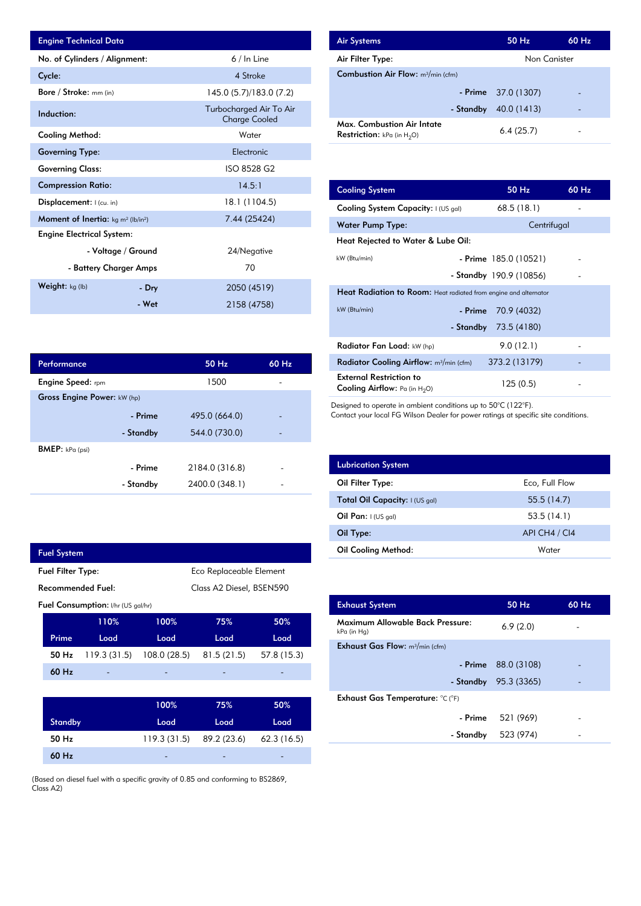| <b>Engine Technical Data</b>                                      |                        |                                                 | <b>Air Systems</b>                                                          |                                    | 50 Hz                    | 60 Hz |
|-------------------------------------------------------------------|------------------------|-------------------------------------------------|-----------------------------------------------------------------------------|------------------------------------|--------------------------|-------|
| No. of Cylinders / Alignment:                                     |                        | $6/ln$ Line                                     | Air Filter Type:                                                            |                                    | Non Canister             |       |
| Cycle:                                                            |                        | 4 Stroke                                        | <b>Combustion Air Flow: m3/min (cfm)</b>                                    |                                    |                          |       |
| Bore / Stroke: mm (in)                                            |                        | 145.0 (5.7)/183.0 (7.2)                         |                                                                             | - Prime                            | 37.0 (1307)              |       |
| Induction:                                                        |                        | Turbocharged Air To Air<br><b>Charge Cooled</b> |                                                                             |                                    | - Standby $40.0(1413)$   |       |
| <b>Cooling Method:</b>                                            |                        | Water                                           | <b>Max. Combustion Air Intate</b><br><b>Restriction:</b> $kPa$ (in $H_2O$ ) |                                    | 6.4(25.7)                |       |
| <b>Governing Type:</b>                                            |                        | Electronic                                      |                                                                             |                                    |                          |       |
| <b>Governing Class:</b>                                           |                        | ISO 8528 G2                                     |                                                                             |                                    |                          |       |
| <b>Compression Ratio:</b>                                         |                        | 14.5:1                                          | <b>Cooling System</b>                                                       |                                    | 50 Hz                    | 60 Hz |
| Displacement:   (cu. in)                                          |                        | 18.1 (1104.5)                                   | Cooling System Capacity: I (US gal)                                         |                                    | 68.5 (18.1)              |       |
| <b>Moment of Inertia:</b> kg m <sup>2</sup> (lb/in <sup>2</sup> ) |                        | 7.44 (25424)                                    | <b>Water Pump Type:</b>                                                     |                                    | Centrifugal              |       |
| <b>Engine Electrical System:</b>                                  |                        |                                                 |                                                                             |                                    |                          |       |
| - Voltage / Ground                                                |                        | 24/Negative                                     |                                                                             | Heat Rejected to Water & Lube Oil: |                          |       |
|                                                                   | - Battery Charger Amps | 70                                              | kW (Btu/min)                                                                |                                    | $-$ Prime 185.0 (10521)  |       |
| Weight: $kg (lb)$<br>- Dry<br>2050 (4519)                         |                        |                                                 |                                                                             | - Standby 190.9 (10856)            | $\overline{\phantom{a}}$ |       |
|                                                                   |                        |                                                 | Heat Radiation to Room: Heat radiated from engine and alternator            |                                    |                          |       |
|                                                                   | - Wet                  | 2158 (4758)                                     | $kW$ ( $Btu/min$ )                                                          |                                    | $-Drima = 709(1032)$     |       |

| <b>Air Systems</b>                                                        | 50 Hz                | 60 Hz |
|---------------------------------------------------------------------------|----------------------|-------|
| Air Filter Type:                                                          | Non Canister         |       |
| <b>Combustion Air Flow:</b> $m^3/m$ in (cfm)                              |                      |       |
|                                                                           | - Prime $37.0(1307)$ |       |
| - Standby                                                                 | 40.0 (1413)          |       |
| <b>Max. Combustion Air Intate</b><br><b>Restriction:</b> kPa (in $H_2O$ ) | 6.4(25.7)            |       |

| 14.5:1         | <b>Cooling System</b>                                                     | 50 Hz                                                                   | 60 Hz |  |  |  |
|----------------|---------------------------------------------------------------------------|-------------------------------------------------------------------------|-------|--|--|--|
| 18.1 (1104.5)  | Cooling System Capacity: I (US gal)                                       | 68.5(18.1)                                                              |       |  |  |  |
| 7.44 (25424)   | Water Pump Type:                                                          | Centrifugal                                                             |       |  |  |  |
|                | Heat Rejected to Water & Lube Oil:                                        |                                                                         |       |  |  |  |
| 24/Negative    | kW (Btu/min)                                                              | $-$ Prime 185.0 (10521)                                                 |       |  |  |  |
| 70             |                                                                           | - Standby 190.9 (10856)                                                 |       |  |  |  |
| 2050 (4519)    |                                                                           | <b>Heat Radiation to Room:</b> Heat radiated from engine and alternator |       |  |  |  |
| 2158 (4758)    | kW (Btu/min)<br>- Prime                                                   | 70.9 (4032)                                                             |       |  |  |  |
|                | - Standby                                                                 | 73.5 (4180)                                                             |       |  |  |  |
|                | Radiator Fan Load: kW (hp)                                                | 9.0(12.1)                                                               |       |  |  |  |
| 50 Hz<br>60 Hz | Radiator Cooling Airflow: $m^3/m$ in (cfm)                                | 373.2 (13179)                                                           |       |  |  |  |
| 1500           | <b>External Restriction to</b><br><b>Cooling Airflow:</b> Pa (in $H_2O$ ) | 125(0.5)                                                                |       |  |  |  |

Designed to operate in ambient conditions up to 50°C (122°F).

Contact your local FG Wilson Dealer for power ratings at specific site conditions.

| <b>Lubrication System</b>      |                |
|--------------------------------|----------------|
| Oil Filter Type:               | Eco, Full Flow |
| Total Oil Capacity: I (US gal) | 55.5(14.7)     |
| Oil Pan: $1(US gal)$           | 53.5(14.1)     |
| Oil Type:                      | API CH4 / CI4  |
| <b>Oil Cooling Method:</b>     | Water          |

| <b>Exhaust System</b>                           | 50 Hz       | $60$ Hz |
|-------------------------------------------------|-------------|---------|
| Maximum Allowable Back Pressure:<br>kPa (in Hg) | 6.9(2.0)    |         |
| <b>Exhaust Gas Flow:</b> $m^3/m$ in (cfm)       |             |         |
| - Prime                                         | 88.0 (3108) |         |
| - Standby                                       | 95.3 (3365) |         |
| Exhaust Gas Temperature: °C (°F)                |             |         |
| - Prime                                         | 521 (969)   |         |
| - Standby                                       | 523 (974)   |         |
|                                                 |             |         |

| Performance                 |           | $50$ Hz        | 60 Hz |
|-----------------------------|-----------|----------------|-------|
| <b>Engine Speed:</b> rpm    |           | 1500           |       |
| Gross Engine Power: kW (hp) |           |                |       |
|                             | - Prime   | 495.0 (664.0)  |       |
|                             | - Standby | 544.0 (730.0)  | -     |
| <b>BMEP:</b> $kPa$ (psi)    |           |                |       |
|                             | - Prime   | 2184.0 (316.8) |       |
|                             | - Standby | 2400.0 (348.1) |       |

|                          | <b>Fuel System</b> |                                           |                          |                         |             |
|--------------------------|--------------------|-------------------------------------------|--------------------------|-------------------------|-------------|
| <b>Fuel Filter Type:</b> |                    |                                           |                          | Eco Replaceable Element |             |
| Recommended Fuel:        |                    |                                           | Class A2 Diesel, BSEN590 |                         |             |
|                          |                    | <b>Fuel Consumption:</b> I/hr (US gal/hr) |                          |                         |             |
|                          |                    | 110%                                      | 100%                     | 75%                     | 50%         |
|                          | Prime              | Load                                      | Load                     | Load                    | Load        |
|                          | 50 Hz              | 119.3(31.5)                               | 108.0 (28.5)             | 81.5(21.5)              | 57.8 (15.3) |
|                          | 60 Hz              |                                           |                          |                         |             |
|                          |                    |                                           |                          |                         |             |
|                          |                    |                                           | 100%                     | 75%                     | 50%         |
|                          | <b>Standby</b>     |                                           | Load                     | Load                    | Load        |
|                          | 50 Hz              |                                           | 119.3 (31.5)             | 89.2 (23.6)             | 62.3(16.5)  |
|                          | 60 Hz              |                                           |                          |                         |             |

(Based on diesel fuel with a specific gravity of 0.85 and conforming to BS2869, Class A2)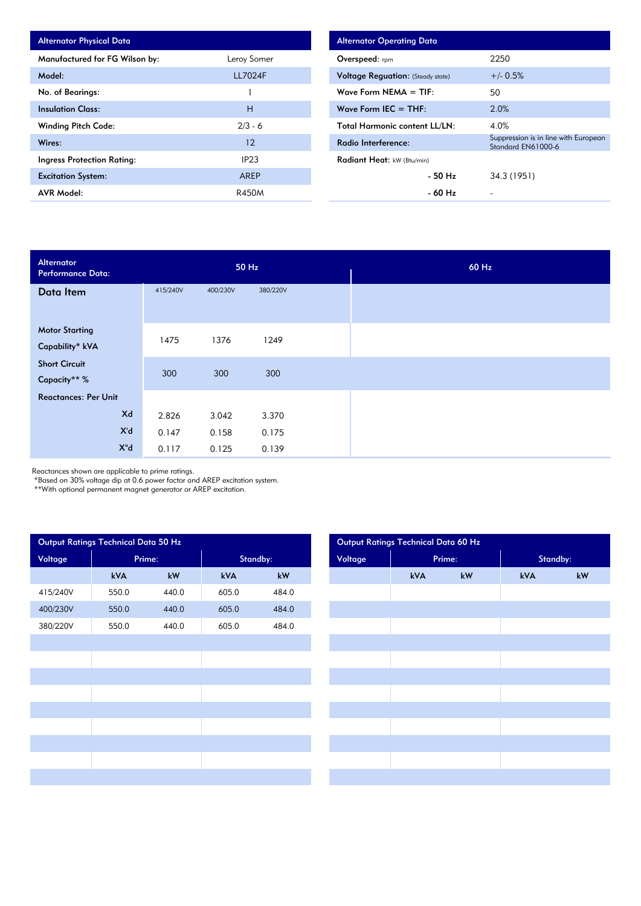| <b>Alternator Physical Data</b> |                  |
|---------------------------------|------------------|
| Manufactured for FG Wilson by:  | Leroy Somer      |
| Model:                          | <b>LL7024F</b>   |
| No. of Bearings:                |                  |
| <b>Insulation Class:</b>        | н                |
| <b>Winding Pitch Code:</b>      | $2/3 - 6$        |
| Wires:                          | 12               |
| Ingress Protection Rating:      | IP <sub>23</sub> |
| <b>Excitation System:</b>       | AREP             |
| <b>AVR Model:</b>               | R450M            |

| <b>Alternator Operating Data</b>         |                                                            |
|------------------------------------------|------------------------------------------------------------|
| Overspeed: rpm                           | 2250                                                       |
| <b>Voltage Requation: (Steady state)</b> | $+/- 0.5%$                                                 |
| Wave Form NEMA $=$ TIF:                  | 50                                                         |
| Wave Form IEC $=$ THF:                   | 2.0%                                                       |
| <b>Total Harmonic content LL/LN:</b>     | 4.0%                                                       |
| Radio Interference:                      | Suppression is in line with European<br>Standard EN61000-6 |
| Radiant Heat: kW (Btu/min)               |                                                            |
| - 50 Hz                                  | 34.3 (1951)                                                |
| - 60 Hz                                  |                                                            |

| Alternator<br><b>Performance Data:</b> |          |          | 50 Hz    |  |
|----------------------------------------|----------|----------|----------|--|
| Data Item                              | 415/240V | 400/230V | 380/220V |  |
|                                        |          |          |          |  |
| <b>Motor Starting</b>                  | 1475     | 1376     | 1249     |  |
| Capability* kVA                        |          |          |          |  |
| <b>Short Circuit</b>                   | 300      | 300      | 300      |  |
| Capacity** %                           |          |          |          |  |
| <b>Reactances: Per Unit</b>            |          |          |          |  |
| Xd                                     | 2.826    | 3.042    | 3.370    |  |
| X'd                                    | 0.147    | 0.158    | 0.175    |  |
| $X^{\prime\prime}$ d                   | 0.117    | 0.125    | 0.139    |  |

Reactances shown are applicable to prime ratings.

\*Based on 30% voltage dip at 0.6 power factor and AREP excitation system.

\*\*With optional permanent magnet generator or AREP excitation.

| Output Ratings Technical Data 50 Hz |        |       |          |       | Output Ratings Technical Data 60 Hz |  |     |        |          |  |
|-------------------------------------|--------|-------|----------|-------|-------------------------------------|--|-----|--------|----------|--|
| Voltage                             | Prime: |       | Standby: |       | Voltage                             |  |     | Prime: | Standby: |  |
|                                     | kVA    | kW    | kVA      | kW    |                                     |  | kVA | kW     | kVA      |  |
| 415/240V                            | 550.0  | 440.0 | 605.0    | 484.0 |                                     |  |     |        |          |  |
| 400/230V                            | 550.0  | 440.0 | 605.0    | 484.0 |                                     |  |     |        |          |  |
| 380/220V                            | 550.0  | 440.0 | 605.0    | 484.0 |                                     |  |     |        |          |  |
|                                     |        |       |          |       |                                     |  |     |        |          |  |
|                                     |        |       |          |       |                                     |  |     |        |          |  |
|                                     |        |       |          |       |                                     |  |     |        |          |  |
|                                     |        |       |          |       |                                     |  |     |        |          |  |
|                                     |        |       |          |       |                                     |  |     |        |          |  |
|                                     |        |       |          |       |                                     |  |     |        |          |  |
|                                     |        |       |          |       |                                     |  |     |        |          |  |
|                                     |        |       |          |       |                                     |  |     |        |          |  |
|                                     |        |       |          |       |                                     |  |     |        |          |  |